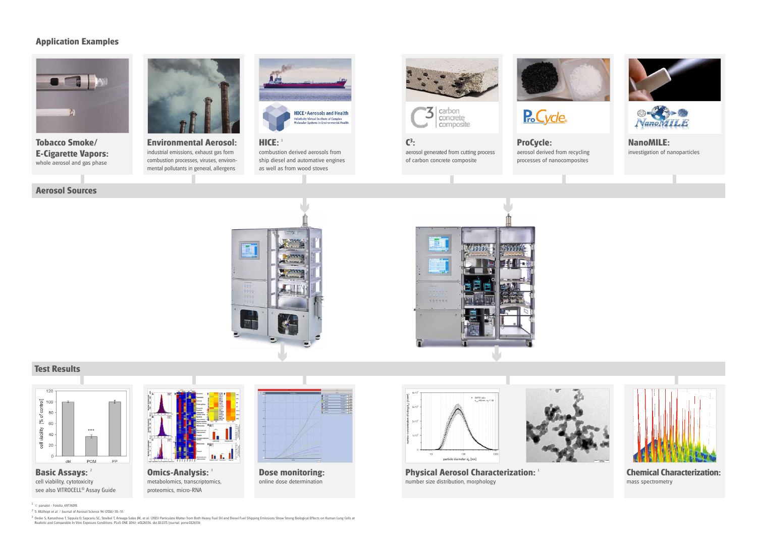

**Tobacco Smoke/ E-Cigarette Vapors:**  whole aerosol and gas phase



**Environmental Aerosol:** industrial emissions, exhaust gas form combustion processes, viruses, environmental pollutants in general, allergens

**C3 :**



of carbon concrete composite

aerosol generated from cutting process **ProCycle:** aerosol derived from recycling processes of nanocomposites

P<sub>ro</sub>Cycle





**Omics-Analysis:** metabolomics, transcriptomics, proteomics, micro-RNA

**NanoMILE:** investigation of nanoparticles







**HICE:** <sup>1</sup> combustion derived aerosols from ship diesel and automative engines as well as from wood stoves





# **Application Examples**



cell viability, cytotoxicity see also VITROCELL® Assay Guide





**Physical Aerosol Characterization:** <sup>1</sup> number size distribution, morphology

 $1$   $\circ$  panalot - Fotolia\_69734198

**Chemical Characterization:** mass spectrometry



**Dose monitoring:** online dose determination



## **Aerosol Sources**

## **Test Results**

3 Oeder S, Kanashova T, Sippula O, Sapcariu SC, Streibel T, Arteaga-Salas JM, et al. (2015) Particulate Matter from Both Heavy Fuel Oil and Diesel Fuel Shipping Emissions Show Strong Biological Effects on Human Lung Cells







<sup>2</sup> S. Mülhopt et al. / Journal of Aerosol Science 96 (2016) 38–55